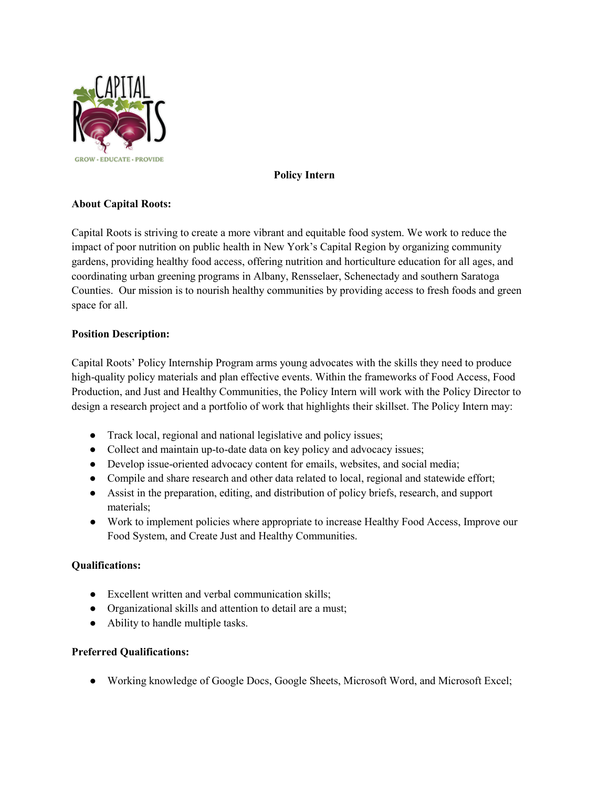

## **Policy Intern**

# **About Capital Roots:**

Capital Roots is striving to create a more vibrant and equitable food system. We work to reduce the impact of poor nutrition on public health in New York's Capital Region by organizing community gardens, providing healthy food access, offering nutrition and horticulture education for all ages, and coordinating urban greening programs in Albany, Rensselaer, Schenectady and southern Saratoga Counties. Our mission is to nourish healthy communities by providing access to fresh foods and green space for all.

### **Position Description:**

Capital Roots' Policy Internship Program arms young advocates with the skills they need to produce high-quality policy materials and plan effective events. Within the frameworks of Food Access, Food Production, and Just and Healthy Communities, the Policy Intern will work with the Policy Director to design a research project and a portfolio of work that highlights their skillset. The Policy Intern may:

- Track local, regional and national legislative and policy issues;
- Collect and maintain up-to-date data on key policy and advocacy issues;
- Develop issue-oriented advocacy content for emails, websites, and social media;
- Compile and share research and other data related to local, regional and statewide effort;
- Assist in the preparation, editing, and distribution of policy briefs, research, and support materials;
- Work to implement policies where appropriate to increase Healthy Food Access, Improve our Food System, and Create Just and Healthy Communities.

### **Qualifications:**

- Excellent written and verbal communication skills;
- Organizational skills and attention to detail are a must;
- Ability to handle multiple tasks.

### **Preferred Qualifications:**

● Working knowledge of Google Docs, Google Sheets, Microsoft Word, and Microsoft Excel;